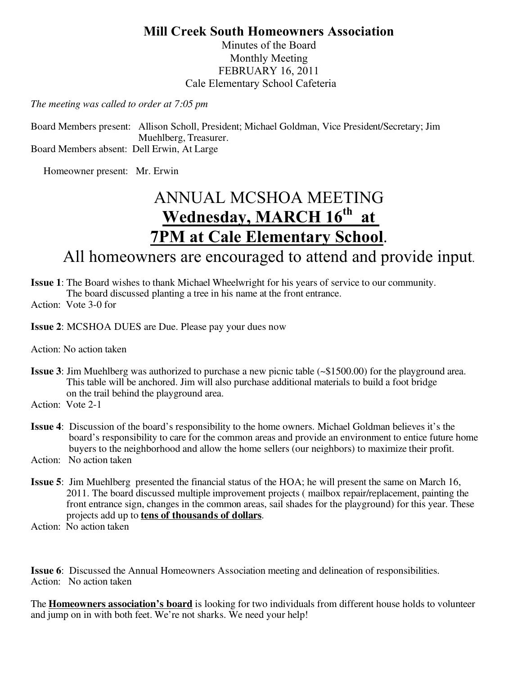## **Mill Creek South Homeowners Association**

Minutes of the Board Monthly Meeting FEBRUARY 16, 2011 Cale Elementary School Cafeteria

*The meeting was called to order at 7:05 pm*

Board Members present: Allison Scholl, President; Michael Goldman, Vice President/Secretary; Jim Muehlberg, Treasurer. Board Members absent: Dell Erwin, At Large

Homeowner present: Mr. Erwin

# ANNUAL MCSHOA MEETING Wednesday, MARCH  $16^{\text{th}}$  at **7PM at Cale Elementary School**. All homeowners are encouraged to attend and provide input.

- **Issue 1**: The Board wishes to thank Michael Wheelwright for his years of service to our community. The board discussed planting a tree in his name at the front entrance.
- Action: Vote 3-0 for

**Issue 2**: MCSHOA DUES are Due. Please pay your dues now

Action: No action taken

- **Issue 3**: Jim Muehlberg was authorized to purchase a new picnic table (~\$1500.00) for the playground area. This table will be anchored. Jim will also purchase additional materials to build a foot bridge on the trail behind the playground area.
- Action: Vote 2-1
- **Issue 4**: Discussion of the board's responsibility to the home owners. Michael Goldman believes it's the board's responsibility to care for the common areas and provide an environment to entice future home buyers to the neighborhood and allow the home sellers (our neighbors) to maximize their profit.
- Action: No action taken
- **Issue 5**: Jim Muehlberg presented the financial status of the HOA; he will present the same on March 16, 2011. The board discussed multiple improvement projects ( mailbox repair/replacement, painting the front entrance sign, changes in the common areas, sail shades for the playground) for this year. These projects add up to **tens of thousands of dollars**.
- Action: No action taken

**Issue 6**: Discussed the Annual Homeowners Association meeting and delineation of responsibilities. Action: No action taken

The **Homeowners association's board** is looking for two individuals from different house holds to volunteer and jump on in with both feet. We're not sharks. We need your help!